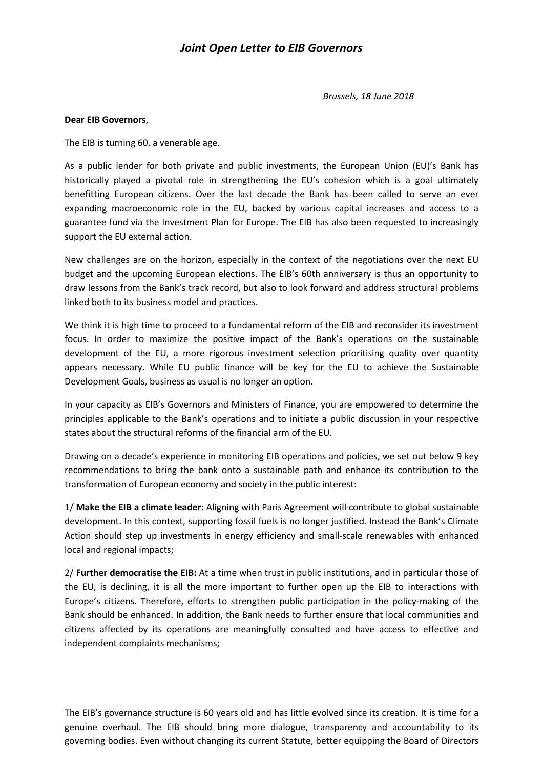## *Joint Open Letter to EIB Governors*

*Brussels, 18 June 2018* 

## **Dear EIB Governors**,

The EIB is turning 60, a venerable age.

As a public lender for both private and public investments, the European Union (EU)'s Bank has historically played a pivotal role in strengthening the EU's cohesion which is a goal ultimately benefitting European citizens. Over the last decade the Bank has been called to serve an ever expanding macroeconomic role in the EU, backed by various capital increases and access to a guarantee fund via the Investment Plan for Europe. The EIB has also been requested to increasingly support the EU external action.

New challenges are on the horizon, especially in the context of the negotiations over the next EU budget and the upcoming European elections. The EIB's 60th anniversary is thus an opportunity to draw lessons from the Bank's track record, but also to look forward and address structural problems linked both to its business model and practices.

We think it is high time to proceed to a fundamental reform of the EIB and reconsider its investment focus. In order to maximize the positive impact of the Bank's operations on the sustainable development of the EU, a more rigorous investment selection prioritising quality over quantity appears necessary. While EU public finance will be key for the EU to achieve the Sustainable Development Goals, business as usual is no longer an option.

In your capacity as EIB's Governors and Ministers of Finance, you are empowered to determine the principles applicable to the Bank's operations and to initiate a public discussion in your respective states about the structural reforms of the financial arm of the EU.

Drawing on a decade's experience in monitoring EIB operations and policies, we set out below 9 key recommendations to bring the bank onto a sustainable path and enhance its contribution to the transformation of European economy and society in the public interest:

1/ **Make the EIB a climate leader**: Aligning with Paris Agreement will contribute to global sustainable development. In this context, supporting fossil fuels is no longer justified. Instead the Bank's Climate Action should step up investments in energy efficiency and small-scale renewables with enhanced local and regional impacts;

2/ **Further democratise the EIB:** At a time when trust in public institutions, and in particular those of the EU, is declining, it is all the more important to further open up the EIB to interactions with Europe's citizens. Therefore, efforts to strengthen public participation in the policy-making of the Bank should be enhanced. In addition, the Bank needs to further ensure that local communities and citizens affected by its operations are meaningfully consulted and have access to effective and independent complaints mechanisms;

The EIB's governance structure is 60 years old and has little evolved since its creation. It is time for a genuine overhaul. The EIB should bring more dialogue, transparency and accountability to its governing bodies. Even without changing its current Statute, better equipping the Board of Directors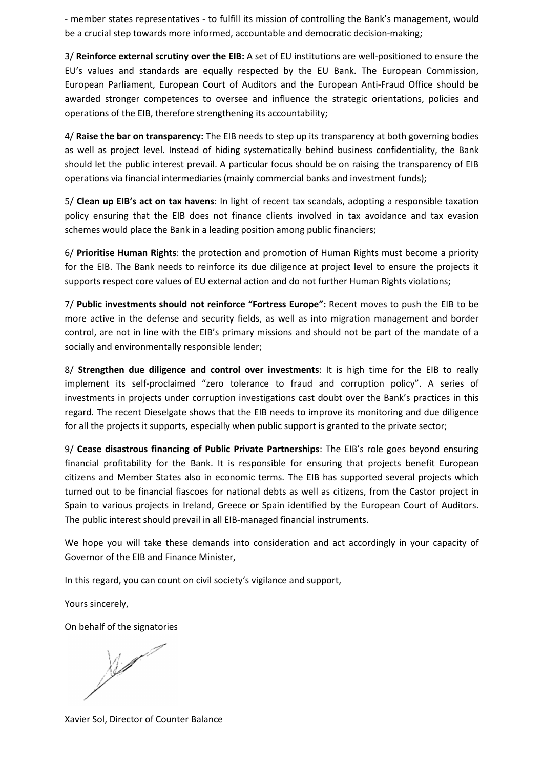- member states representatives - to fulfill its mission of controlling the Bank's management, would be a crucial step towards more informed, accountable and democratic decision-making;

3/ **Reinforce external scrutiny over the EIB:** A set of EU institutions are well-positioned to ensure the EU's values and standards are equally respected by the EU Bank. The European Commission, European Parliament, European Court of Auditors and the European Anti-Fraud Office should be awarded stronger competences to oversee and influence the strategic orientations, policies and operations of the EIB, therefore strengthening its accountability;

4/ **Raise the bar on transparency:** The EIB needs to step up its transparency at both governing bodies as well as project level. Instead of hiding systematically behind business confidentiality, the Bank should let the public interest prevail. A particular focus should be on raising the transparency of EIB operations via financial intermediaries (mainly commercial banks and investment funds);

5/ **Clean up EIB's act on tax havens**: In light of recent tax scandals, adopting a responsible taxation policy ensuring that the EIB does not finance clients involved in tax avoidance and tax evasion schemes would place the Bank in a leading position among public financiers;

6/ **Prioritise Human Rights**: the protection and promotion of Human Rights must become a priority for the EIB. The Bank needs to reinforce its due diligence at project level to ensure the projects it supports respect core values of EU external action and do not further Human Rights violations;

7/ **Public investments should not reinforce "Fortress Europe":** Recent moves to push the EIB to be more active in the defense and security fields, as well as into migration management and border control, are not in line with the EIB's primary missions and should not be part of the mandate of a socially and environmentally responsible lender;

8/ **Strengthen due diligence and control over investments**: It is high time for the EIB to really implement its self-proclaimed "zero tolerance to fraud and corruption policy". A series of investments in projects under corruption investigations cast doubt over the Bank's practices in this regard. The recent Dieselgate shows that the EIB needs to improve its monitoring and due diligence for all the projects it supports, especially when public support is granted to the private sector;

9/ **Cease disastrous financing of Public Private Partnerships**: The EIB's role goes beyond ensuring financial profitability for the Bank. It is responsible for ensuring that projects benefit European citizens and Member States also in economic terms. The EIB has supported several projects which turned out to be financial fiascoes for national debts as well as citizens, from the Castor project in Spain to various projects in Ireland, Greece or Spain identified by the European Court of Auditors. The public interest should prevail in all EIB-managed financial instruments.

We hope you will take these demands into consideration and act accordingly in your capacity of Governor of the EIB and Finance Minister,

In this regard, you can count on civil society's vigilance and support,

Yours sincerely,

On behalf of the signatories

 $\frac{1}{2}$ 

Xavier Sol, Director of Counter Balance